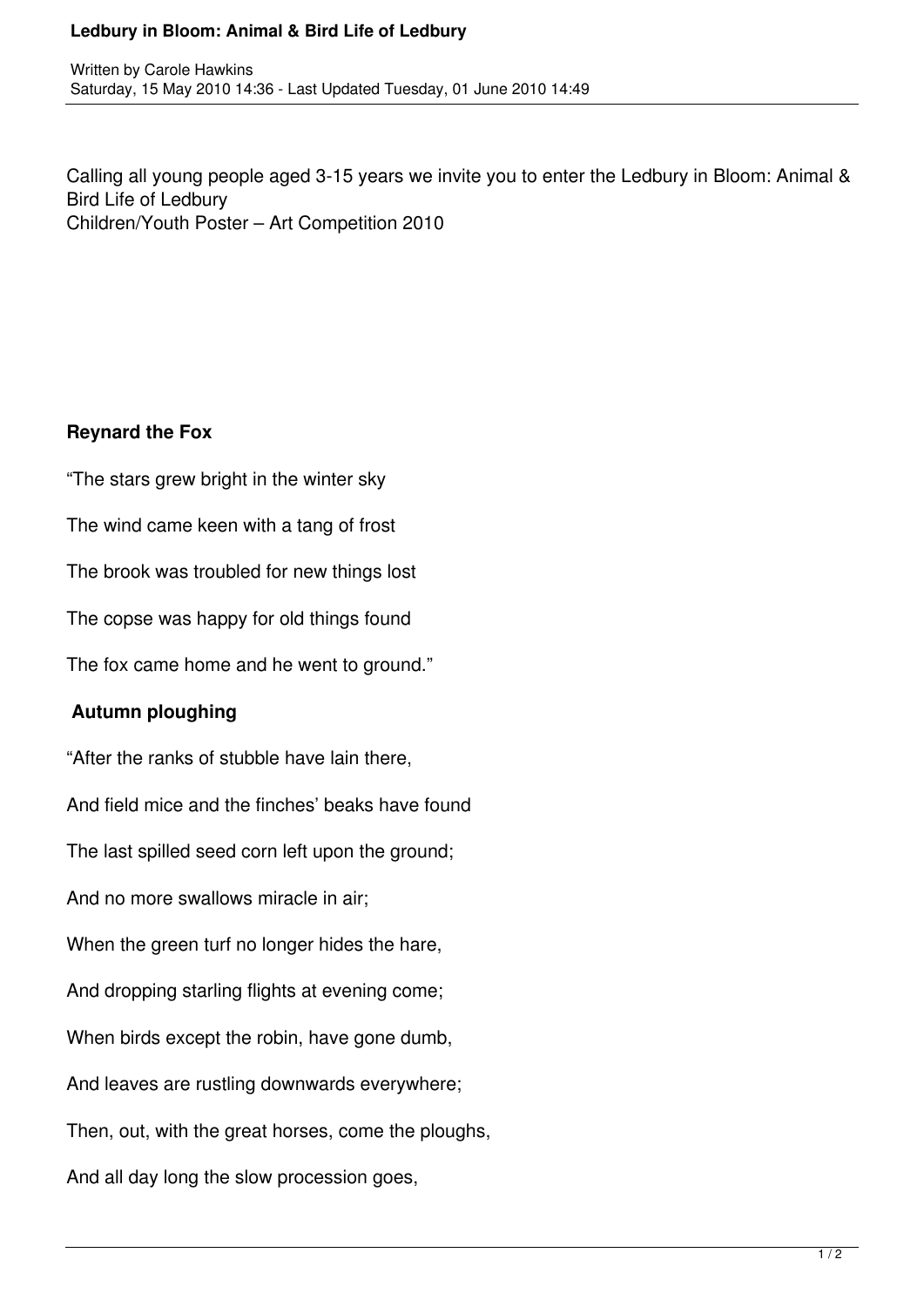## **Ledbury in Bloom: Animal & Bird Life of Ledbury**

Calling all young people aged 3-15 years we invite you to enter the Ledbury in Bloom: Animal & Bird Life of Ledbury Children/Youth Poster – Art Competition 2010

## **Reynard the Fox**

"The stars grew bright in the winter sky The wind came keen with a tang of frost The brook was troubled for new things lost The copse was happy for old things found The fox came home and he went to ground." **Autumn ploughing** "After the ranks of stubble have lain there, And field mice and the finches' beaks have found The last spilled seed corn left upon the ground; And no more swallows miracle in air; When the green turf no longer hides the hare, And dropping starling flights at evening come; When birds except the robin, have gone dumb, And leaves are rustling downwards everywhere; Then, out, with the great horses, come the ploughs, And all day long the slow procession goes,